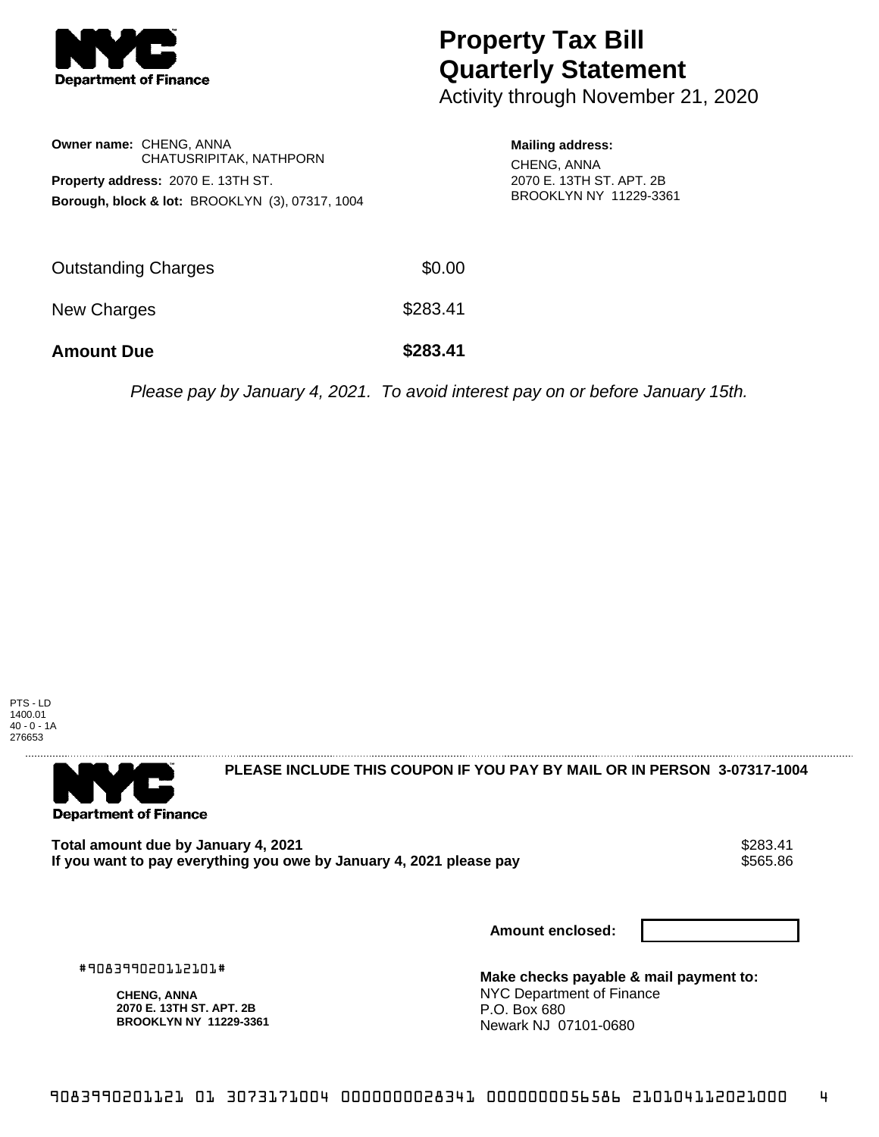

## **Property Tax Bill Quarterly Statement**

Activity through November 21, 2020

|                                           | <b>Owner name: CHENG, ANNA</b><br>CHATUSRIPITAK, NATHPORN  |  |  |  |
|-------------------------------------------|------------------------------------------------------------|--|--|--|
| <b>Property address: 2070 E. 13TH ST.</b> |                                                            |  |  |  |
|                                           | <b>Borough, block &amp; lot: BROOKLYN (3), 07317, 1004</b> |  |  |  |

**Mailing address:** CHENG, ANNA 2070 E. 13TH ST. APT. 2B BROOKLYN NY 11229-3361

| <b>Amount Due</b>   | \$283.41 |
|---------------------|----------|
| New Charges         | \$283.41 |
| Outstanding Charges | \$0.00   |

Please pay by January 4, 2021. To avoid interest pay on or before January 15th.

PTS - LD 1400.01 40 - 0 - 1A 276653



**PLEASE INCLUDE THIS COUPON IF YOU PAY BY MAIL OR IN PERSON 3-07317-1004** 

**Total amount due by January 4, 2021<br>If you want to pay everything you owe by January 4, 2021 please pay \$565.86** If you want to pay everything you owe by January 4, 2021 please pay

**Amount enclosed:**

#908399020112101#

**CHENG, ANNA 2070 E. 13TH ST. APT. 2B BROOKLYN NY 11229-3361** **Make checks payable & mail payment to:** NYC Department of Finance P.O. Box 680 Newark NJ 07101-0680